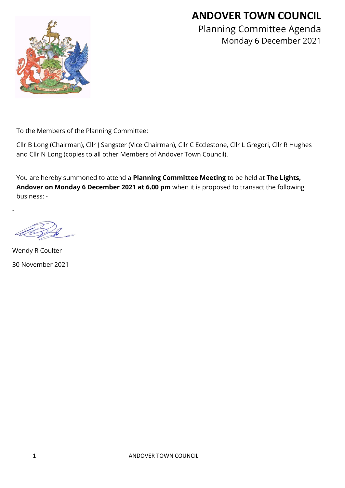# **ANDOVER TOWN COUNCIL**



Planning Committee Agenda Monday 6 December 2021

To the Members of the Planning Committee:

Cllr B Long (Chairman), Cllr J Sangster (Vice Chairman), Cllr C Ecclestone, Cllr L Gregori, Cllr R Hughes and Cllr N Long (copies to all other Members of Andover Town Council).

You are hereby summoned to attend a **Planning Committee Meeting** to be held at **The Lights, Andover on Monday 6 December 2021 at 6.00 pm** when it is proposed to transact the following business: -

-

Wendy R Coulter 30 November 2021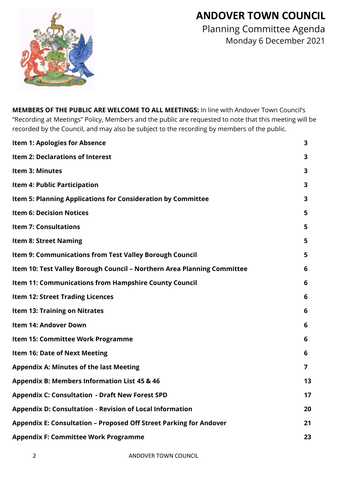## **ANDOVER TOWN COUNCIL**



Planning Committee Agenda Monday 6 December 2021

**MEMBERS OF THE PUBLIC ARE WELCOME TO ALL MEETINGS:** In line with Andover Town Council's "Recording at Meetings" Policy, Members and the public are requested to note that this meeting will be recorded by the Council, and may also be subject to the recording by members of the public.

| <b>Item 1: Apologies for Absence</b>                                    | 3              |
|-------------------------------------------------------------------------|----------------|
| Item 2: Declarations of Interest                                        | 3              |
| Item 3: Minutes                                                         | 3              |
| <b>Item 4: Public Participation</b>                                     | 3              |
| Item 5: Planning Applications for Consideration by Committee            | 3              |
| <b>Item 6: Decision Notices</b>                                         | 5              |
| <b>Item 7: Consultations</b>                                            | 5              |
| <b>Item 8: Street Naming</b>                                            | 5              |
| Item 9: Communications from Test Valley Borough Council                 | 5              |
| Item 10: Test Valley Borough Council - Northern Area Planning Committee | 6              |
| Item 11: Communications from Hampshire County Council                   | 6              |
| <b>Item 12: Street Trading Licences</b>                                 | 6              |
| <b>Item 13: Training on Nitrates</b>                                    | 6              |
| <b>Item 14: Andover Down</b>                                            | 6              |
| Item 15: Committee Work Programme                                       | 6              |
| <b>Item 16: Date of Next Meeting</b>                                    | 6              |
| <b>Appendix A: Minutes of the last Meeting</b>                          | $\overline{7}$ |
| <b>Appendix B: Members Information List 45 &amp; 46</b>                 | 13             |
| <b>Appendix C: Consultation - Draft New Forest SPD</b>                  | 17             |
| Appendix D: Consultation - Revision of Local Information                | 20             |
| Appendix E: Consultation - Proposed Off Street Parking for Andover      | 21             |
| <b>Appendix F: Committee Work Programme</b>                             | 23             |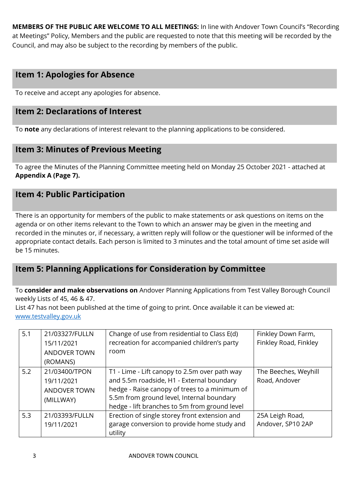**MEMBERS OF THE PUBLIC ARE WELCOME TO ALL MEETINGS:** In line with Andover Town Council's "Recording at Meetings" Policy, Members and the public are requested to note that this meeting will be recorded by the Council, and may also be subject to the recording by members of the public.

## **Item 1: Apologies for Absence**

To receive and accept any apologies for absence.

## **Item 2: Declarations of Interest**

To **note** any declarations of interest relevant to the planning applications to be considered.

## **Item 3: Minutes of Previous Meeting**

To agree the Minutes of the Planning Committee meeting held on Monday 25 October 2021 - attached at **Appendix A (Page 7).**

## **Item 4: Public Participation**

There is an opportunity for members of the public to make statements or ask questions on items on the agenda or on other items relevant to the Town to which an answer may be given in the meeting and recorded in the minutes or, if necessary, a written reply will follow or the questioner will be informed of the appropriate contact details. Each person is limited to 3 minutes and the total amount of time set aside will be 15 minutes.

## **Item 5: Planning Applications for Consideration by Committee**

To **consider and make observations on** Andover Planning Applications from Test Valley Borough Council weekly Lists of 45, 46 & 47.

List 47 has not been published at the time of going to print. Once available it can be viewed at: [www.testvalley.gov.uk](http://www.testvalley.gov.uk/)

| 5.1 | 21/03327/FULLN<br>15/11/2021<br><b>ANDOVER TOWN</b><br>(ROMANS) | Change of use from residential to Class E(d)<br>recreation for accompanied children's party<br>room                                                                                                                                       | Finkley Down Farm,<br>Finkley Road, Finkley |
|-----|-----------------------------------------------------------------|-------------------------------------------------------------------------------------------------------------------------------------------------------------------------------------------------------------------------------------------|---------------------------------------------|
| 5.2 | 21/03400/TPON<br>19/11/2021<br><b>ANDOVER TOWN</b><br>(MILLWAY) | T1 - Lime - Lift canopy to 2.5m over path way<br>and 5.5m roadside, H1 - External boundary<br>hedge - Raise canopy of trees to a minimum of<br>5.5m from ground level, Internal boundary<br>hedge - lift branches to 5m from ground level | The Beeches, Weyhill<br>Road, Andover       |
| 5.3 | 21/03393/FULLN<br>19/11/2021                                    | Erection of single storey front extension and<br>garage conversion to provide home study and<br>utility                                                                                                                                   | 25A Leigh Road,<br>Andover, SP10 2AP        |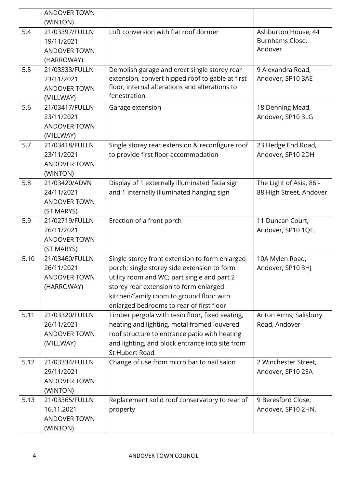|      | <b>ANDOVER TOWN</b>         |                                                                                             |                                         |
|------|-----------------------------|---------------------------------------------------------------------------------------------|-----------------------------------------|
| 5.4  | (WINTON)<br>21/03397/FULLN  | Loft conversion with flat roof dormer                                                       | Ashburton House, 44                     |
|      | 19/11/2021                  |                                                                                             | Burnhams Close,                         |
|      | ANDOVER TOWN                |                                                                                             | Andover                                 |
|      | (HARROWAY)                  |                                                                                             |                                         |
| 5.5  | 21/03333/FULLN              | Demolish garage and erect single storey rear                                                | 9 Alexandra Road,                       |
|      | 23/11/2021                  | extension, convert hipped roof to gable at first                                            | Andover, SP10 3AE                       |
|      | <b>ANDOVER TOWN</b>         | floor, internal alterations and alterations to                                              |                                         |
|      | (MILLWAY)                   | fenestration                                                                                |                                         |
| 5.6  | 21/03417/FULLN              | Garage extension                                                                            | 18 Denning Mead,                        |
|      | 23/11/2021                  |                                                                                             | Andover, SP10 3LG                       |
|      | <b>ANDOVER TOWN</b>         |                                                                                             |                                         |
| 5.7  | (MILLWAY)<br>21/03418/FULLN |                                                                                             |                                         |
|      | 23/11/2021                  | Single storey rear extension & reconfigure roof<br>to provide first floor accommodation     | 23 Hedge End Road,<br>Andover, SP10 2DH |
|      | <b>ANDOVER TOWN</b>         |                                                                                             |                                         |
|      | (WINTON)                    |                                                                                             |                                         |
| 5.8  | 21/03420/ADVN               | Display of 1 externally illuminated facia sign                                              | The Light of Asia, 86 -                 |
|      | 24/11/2021                  | and 1 internally illuminated hanging sign                                                   | 88 High Street, Andover                 |
|      | <b>ANDOVER TOWN</b>         |                                                                                             |                                         |
|      | (ST MARYS)                  |                                                                                             |                                         |
| 5.9  | 21/02719/FULLN              | Erection of a front porch                                                                   | 11 Duncan Court,                        |
|      | 26/11/2021                  |                                                                                             | Andover, SP10 1QF,                      |
|      | ANDOVER TOWN                |                                                                                             |                                         |
|      | (ST MARYS)                  |                                                                                             |                                         |
| 5.10 | 21/03460/FULLN              | Single storey front extension to form enlarged                                              | 10A Mylen Road,                         |
|      | 26/11/2021                  | porch; single storey side extension to form                                                 | Andover, SP10 3HJ                       |
|      | <b>ANDOVER TOWN</b>         | utility room and WC; part single and part 2                                                 |                                         |
|      | (HARROWAY)                  | storey rear extension to form enlarged                                                      |                                         |
|      |                             | kitchen/family room to ground floor with                                                    |                                         |
| 5.11 | 21/03320/FULLN              | enlarged bedrooms to rear of first floor<br>Timber pergola with resin floor, fixed seating, | Anton Arms, Salisbury                   |
|      | 26/11/2021                  | heating and lighting, metal framed louvered                                                 | Road, Andover                           |
|      | <b>ANDOVER TOWN</b>         | roof structure to entrance patio with heating                                               |                                         |
|      | (MILLWAY)                   | and lighting, and block entrance into site from                                             |                                         |
|      |                             | <b>St Hubert Road</b>                                                                       |                                         |
| 5.12 | 21/03334/FULLN              | Change of use from micro bar to nail salon                                                  | 2 Winchester Street,                    |
|      | 29/11/2021                  |                                                                                             | Andover, SP10 2EA                       |
|      | ANDOVER TOWN                |                                                                                             |                                         |
|      | (WINTON)                    |                                                                                             |                                         |
| 5.13 | 21/03365/FULLN              | Replacement solid roof conservatory to rear of                                              | 9 Beresford Close,                      |
|      | 16.11.2021                  | property                                                                                    | Andover, SP10 2HN,                      |
|      | ANDOVER TOWN                |                                                                                             |                                         |
|      | (WINTON)                    |                                                                                             |                                         |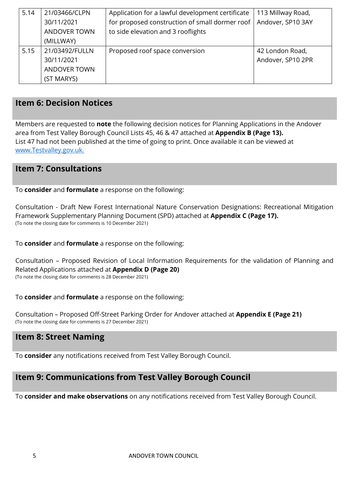| 5.14 | 21/03466/CLPN       | Application for a lawful development certificate | 113 Millway Road, |
|------|---------------------|--------------------------------------------------|-------------------|
|      | 30/11/2021          | for proposed construction of small dormer roof   | Andover, SP10 3AY |
|      | <b>ANDOVER TOWN</b> | to side elevation and 3 rooflights               |                   |
|      | (MILLWAY)           |                                                  |                   |
| 5.15 | 21/03492/FULLN      | Proposed roof space conversion                   | 42 London Road,   |
|      | 30/11/2021          |                                                  | Andover, SP10 2PR |
|      | <b>ANDOVER TOWN</b> |                                                  |                   |
|      | (ST MARYS)          |                                                  |                   |

## **Item 6: Decision Notices**

Members are requested to **note** the following decision notices for Planning Applications in the Andover area from Test Valley Borough Council Lists 45, 46 & 47 attached at **Appendix B (Page 13).**  List 47 had not been published at the time of going to print. Once available it can be viewed at [www.Testvalley.gov.uk.](http://www.testvalley.gov.uk/)

## **Item 7: Consultations**

To **consider** and **formulate** a response on the following:

Consultation - Draft New Forest International Nature Conservation Designations: Recreational Mitigation Framework Supplementary Planning Document (SPD) attached at **Appendix C (Page 17).** (To note the closing date for comments is 10 December 2021)

To **consider** and **formulate** a response on the following:

Consultation – Proposed Revision of Local Information Requirements for the validation of Planning and Related Applications attached at **Appendix D (Page 20)** (To note the closing date for comments is 28 December 2021)

To **consider** and **formulate** a response on the following:

Consultation – Proposed Off-Street Parking Order for Andover attached at **Appendix E (Page 21)** (To note the closing date for comments is 27 December 2021)

## **Item 8: Street Naming**

To **consider** any notifications received from Test Valley Borough Council.

## **Item 9: Communications from Test Valley Borough Council**

To **consider and make observations** on any notifications received from Test Valley Borough Council.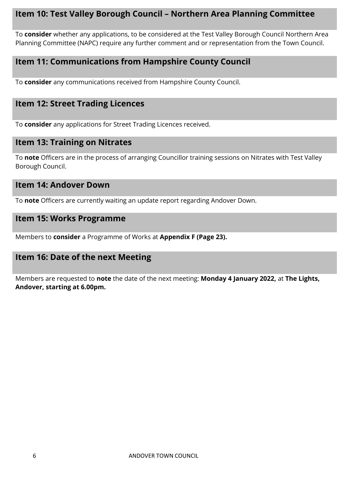## **Item 10: Test Valley Borough Council – Northern Area Planning Committee**

To **consider** whether any applications, to be considered at the Test Valley Borough Council Northern Area Planning Committee (NAPC) require any further comment and or representation from the Town Council.

## **Item 11: Communications from Hampshire County Council**

To **consider** any communications received from Hampshire County Council.

## **Item 12: Street Trading Licences**

To **consider** any applications for Street Trading Licences received.

## **Item 13: Training on Nitrates**

To **note** Officers are in the process of arranging Councillor training sessions on Nitrates with Test Valley Borough Council.

#### **Item 14: Andover Down**

To **note** Officers are currently waiting an update report regarding Andover Down.

#### **Item 15: Works Programme**

Members to **consider** a Programme of Works at **Appendix F (Page 23).**

## **Item 16: Date of the next Meeting**

Members are requested to **note** the date of the next meeting: **Monday 4 January 2022,** at **The Lights, Andover, starting at 6.00pm.**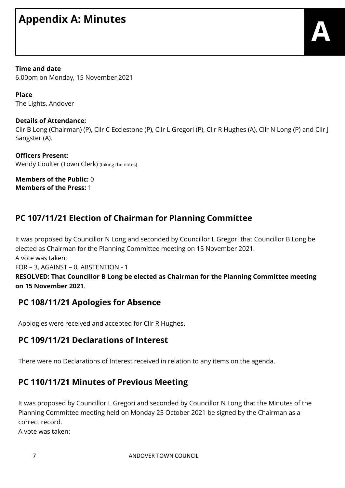# **Appendix A: Minutes**

**Time and date**

6.00pm on Monday, 15 November 2021

**Place** The Lights, Andover

#### **Details of Attendance:**

Cllr B Long (Chairman) (P), Cllr C Ecclestone (P), Cllr L Gregori (P), Cllr R Hughes (A), Cllr N Long (P) and Cllr J Sangster (A).

**Officers Present:** Wendy Coulter (Town Clerk) (taking the notes)

**Members of the Public:** 0 **Members of the Press:** 1

## **PC 107/11/21 Election of Chairman for Planning Committee**

It was proposed by Councillor N Long and seconded by Councillor L Gregori that Councillor B Long be elected as Chairman for the Planning Committee meeting on 15 November 2021.

A vote was taken:

FOR – 3, AGAINST – 0, ABSTENTION - 1

#### **RESOLVED: That Councillor B Long be elected as Chairman for the Planning Committee meeting on 15 November 2021**.

## **PC 108/11/21 Apologies for Absence**

Apologies were received and accepted for Cllr R Hughes.

## **PC 109/11/21 Declarations of Interest**

There were no Declarations of Interest received in relation to any items on the agenda.

## **PC 110/11/21 Minutes of Previous Meeting**

It was proposed by Councillor L Gregori and seconded by Councillor N Long that the Minutes of the Planning Committee meeting held on Monday 25 October 2021 be signed by the Chairman as a correct record.

A vote was taken: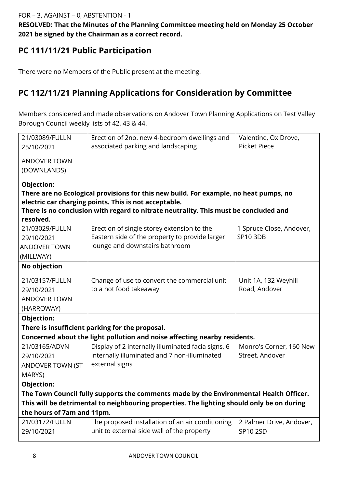**RESOLVED: That the Minutes of the Planning Committee meeting held on Monday 25 October 2021 be signed by the Chairman as a correct record.**

## **PC 111/11/21 Public Participation**

There were no Members of the Public present at the meeting.

## **PC 112/11/21 Planning Applications for Consideration by Committee**

Members considered and made observations on Andover Town Planning Applications on Test Valley Borough Council weekly lists of 42, 43 & 44.

| 21/03089/FULLN             | Erection of 2no. new 4-bedroom dwellings and                                               | Valentine, Ox Drove,     |  |  |  |  |  |
|----------------------------|--------------------------------------------------------------------------------------------|--------------------------|--|--|--|--|--|
| 25/10/2021                 | associated parking and landscaping                                                         | <b>Picket Piece</b>      |  |  |  |  |  |
|                            |                                                                                            |                          |  |  |  |  |  |
| <b>ANDOVER TOWN</b>        |                                                                                            |                          |  |  |  |  |  |
| (DOWNLANDS)                |                                                                                            |                          |  |  |  |  |  |
| Objection:                 |                                                                                            |                          |  |  |  |  |  |
|                            | There are no Ecological provisions for this new build. For example, no heat pumps, no      |                          |  |  |  |  |  |
|                            | electric car charging points. This is not acceptable.                                      |                          |  |  |  |  |  |
|                            | There is no conclusion with regard to nitrate neutrality. This must be concluded and       |                          |  |  |  |  |  |
| resolved.                  |                                                                                            |                          |  |  |  |  |  |
| 21/03029/FULLN             | Erection of single storey extension to the                                                 | 1 Spruce Close, Andover, |  |  |  |  |  |
| 29/10/2021                 | Eastern side of the property to provide larger                                             | SP10 3DB                 |  |  |  |  |  |
| <b>ANDOVER TOWN</b>        | lounge and downstairs bathroom                                                             |                          |  |  |  |  |  |
| (MILLWAY)                  |                                                                                            |                          |  |  |  |  |  |
| No objection               |                                                                                            |                          |  |  |  |  |  |
| 21/03157/FULLN             | Change of use to convert the commercial unit                                               | Unit 1A, 132 Weyhill     |  |  |  |  |  |
| 29/10/2021                 | to a hot food takeaway                                                                     | Road, Andover            |  |  |  |  |  |
| <b>ANDOVER TOWN</b>        |                                                                                            |                          |  |  |  |  |  |
| (HARROWAY)                 |                                                                                            |                          |  |  |  |  |  |
| Objection:                 |                                                                                            |                          |  |  |  |  |  |
|                            | There is insufficient parking for the proposal.                                            |                          |  |  |  |  |  |
|                            | Concerned about the light pollution and noise affecting nearby residents.                  |                          |  |  |  |  |  |
| 21/03165/ADVN              | Display of 2 internally illuminated facia signs, 6                                         | Monro's Corner, 160 New  |  |  |  |  |  |
| 29/10/2021                 | internally illuminated and 7 non-illuminated                                               | Street, Andover          |  |  |  |  |  |
| ANDOVER TOWN (ST           | external signs                                                                             |                          |  |  |  |  |  |
| MARYS)                     |                                                                                            |                          |  |  |  |  |  |
| Objection:                 |                                                                                            |                          |  |  |  |  |  |
|                            | The Town Council fully supports the comments made by the Environmental Health Officer.     |                          |  |  |  |  |  |
|                            | This will be detrimental to neighbouring properties. The lighting should only be on during |                          |  |  |  |  |  |
| the hours of 7am and 11pm. |                                                                                            |                          |  |  |  |  |  |
| 21/03172/FULLN             | The proposed installation of an air conditioning                                           | 2 Palmer Drive, Andover, |  |  |  |  |  |
| 29/10/2021                 | unit to external side wall of the property                                                 | SP10 2SD                 |  |  |  |  |  |
|                            |                                                                                            |                          |  |  |  |  |  |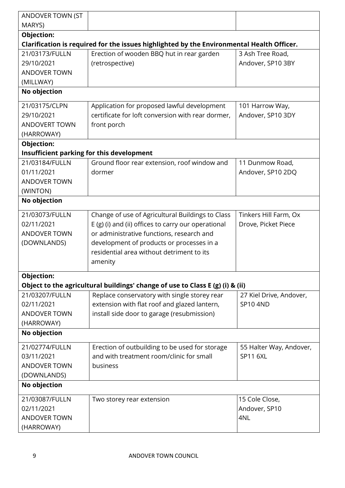| ANDOVER TOWN (ST     |                                                                                           |                                      |
|----------------------|-------------------------------------------------------------------------------------------|--------------------------------------|
| MARYS)               |                                                                                           |                                      |
| Objection:           | Clarification is required for the issues highlighted by the Environmental Health Officer. |                                      |
| 21/03173/FULLN       | Erection of wooden BBQ hut in rear garden                                                 | 3 Ash Tree Road,                     |
| 29/10/2021           | (retrospective)                                                                           | Andover, SP10 3BY                    |
| <b>ANDOVER TOWN</b>  |                                                                                           |                                      |
| (MILLWAY)            |                                                                                           |                                      |
| No objection         |                                                                                           |                                      |
|                      |                                                                                           |                                      |
| 21/03175/CLPN        | Application for proposed lawful development                                               | 101 Harrow Way,                      |
| 29/10/2021           | certificate for loft conversion with rear dormer,                                         | Andover, SP10 3DY                    |
| <b>ANDOVERT TOWN</b> | front porch                                                                               |                                      |
| (HARROWAY)           |                                                                                           |                                      |
| Objection:           |                                                                                           |                                      |
| 21/03184/FULLN       | Insufficient parking for this development                                                 |                                      |
| 01/11/2021           | Ground floor rear extension, roof window and<br>dormer                                    | 11 Dunmow Road,<br>Andover, SP10 2DQ |
| <b>ANDOVER TOWN</b>  |                                                                                           |                                      |
| (WINTON)             |                                                                                           |                                      |
| No objection         |                                                                                           |                                      |
|                      |                                                                                           |                                      |
| 21/03073/FULLN       | Change of use of Agricultural Buildings to Class                                          | Tinkers Hill Farm, Ox                |
| 02/11/2021           | E (g) (i) and (ii) offices to carry our operational                                       | Drove, Picket Piece                  |
| <b>ANDOVER TOWN</b>  | or administrative functions, research and                                                 |                                      |
| (DOWNLANDS)          | development of products or processes in a                                                 |                                      |
|                      | residential area without detriment to its                                                 |                                      |
|                      | amenity                                                                                   |                                      |
| <b>Objection:</b>    |                                                                                           |                                      |
|                      | Object to the agricultural buildings' change of use to Class E (g) (i) & (ii)             |                                      |
| 21/03207/FULLN       | Replace conservatory with single storey rear                                              | 27 Kiel Drive, Andover,              |
| 02/11/2021           | extension with flat roof and glazed lantern,                                              | <b>SP10 4ND</b>                      |
| <b>ANDOVER TOWN</b>  | install side door to garage (resubmission)                                                |                                      |
| (HARROWAY)           |                                                                                           |                                      |
| No objection         |                                                                                           |                                      |
| 21/02774/FULLN       | Erection of outbuilding to be used for storage                                            | 55 Halter Way, Andover,              |
| 03/11/2021           | and with treatment room/clinic for small                                                  | <b>SP11 6XL</b>                      |
| <b>ANDOVER TOWN</b>  | business                                                                                  |                                      |
| (DOWNLANDS)          |                                                                                           |                                      |
| No objection         |                                                                                           |                                      |
| 21/03087/FULLN       | Two storey rear extension                                                                 | 15 Cole Close,                       |
| 02/11/2021           |                                                                                           | Andover, SP10                        |
| <b>ANDOVER TOWN</b>  |                                                                                           | 4NL                                  |
| (HARROWAY)           |                                                                                           |                                      |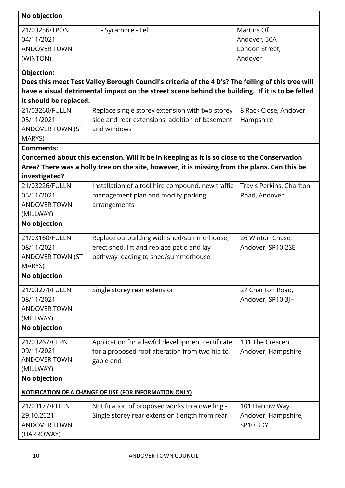| No objection            |                                                                                                   |                          |
|-------------------------|---------------------------------------------------------------------------------------------------|--------------------------|
| 21/03256/TPON           | T1 - Sycamore - Fell                                                                              | Martins Of               |
| 04/11/2021              |                                                                                                   | Andover, 50A             |
| <b>ANDOVER TOWN</b>     |                                                                                                   | London Street,           |
| (WINTON)                |                                                                                                   | Andover                  |
| Objection:              |                                                                                                   |                          |
|                         | Does this meet Test Valley Borough Council's criteria of the 4 D's? The felling of this tree will |                          |
| it should be replaced.  | have a visual detrimental impact on the street scene behind the building. If it is to be felled   |                          |
| 21/03260/FULLN          | Replace single storey extension with two storey                                                   | 8 Rack Close, Andover,   |
| 05/11/2021              | side and rear extensions, addition of basement                                                    | Hampshire                |
| ANDOVER TOWN (ST        | and windows                                                                                       |                          |
| MARYS)                  |                                                                                                   |                          |
| <b>Comments:</b>        |                                                                                                   |                          |
|                         | Concerned about this extension. Will it be in keeping as it is so close to the Conservation       |                          |
|                         | Area? There was a holly tree on the site, however, it is missing from the plans. Can this be      |                          |
| investigated?           |                                                                                                   |                          |
| 21/03226/FULLN          | Installation of a tool hire compound, new traffic                                                 | Travis Perkins, Charlton |
| 05/11/2021              | management plan and modify parking                                                                | Road, Andover            |
| <b>ANDOVER TOWN</b>     | arrangements                                                                                      |                          |
| (MILLWAY)               |                                                                                                   |                          |
| No objection            |                                                                                                   |                          |
| 21/03160/FULLN          | Replace outbuilding with shed/summerhouse,                                                        | 26 Winton Chase,         |
| 08/11/2021              | erect shed, lift and replace patio and lay                                                        | Andover, SP10 2SE        |
| <b>ANDOVER TOWN (ST</b> | pathway leading to shed/summerhouse                                                               |                          |
| MARYS)                  |                                                                                                   |                          |
| No objection            |                                                                                                   |                          |
| 21/03274/FULLN          | Single storey rear extension                                                                      | 27 Charlton Road,        |
| 08/11/2021              |                                                                                                   | Andover, SP10 3JH        |
| <b>ANDOVER TOWN</b>     |                                                                                                   |                          |
| (MILLWAY)               |                                                                                                   |                          |
| No objection            |                                                                                                   |                          |
| 21/03267/CLPN           | Application for a lawful development certificate                                                  | 131 The Crescent,        |
| 09/11/2021              | for a proposed roof alteration from two hip to                                                    | Andover, Hampshire       |
| <b>ANDOVER TOWN</b>     | gable end                                                                                         |                          |
| (MILLWAY)               |                                                                                                   |                          |
| No objection            |                                                                                                   |                          |
|                         | <b>NOTIFICATION OF A CHANGE OF USE (FOR INFORMATION ONLY)</b>                                     |                          |
| 21/03177/PDHN           | Notification of proposed works to a dwelling -                                                    | 101 Harrow Way,          |
| 29.10.2021              | Single storey rear extension (length from rear                                                    | Andover, Hampshire,      |
| <b>ANDOVER TOWN</b>     |                                                                                                   | <b>SP10 3DY</b>          |
| (HARROWAY)              |                                                                                                   |                          |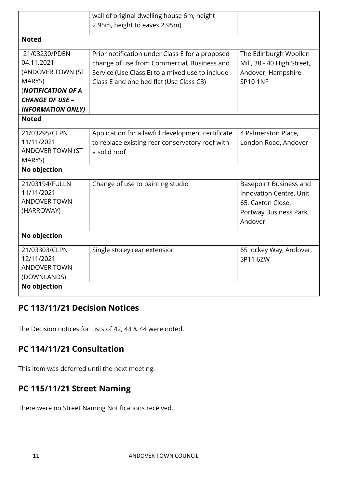|                          | wall of original dwelling house 6m, height       |                            |
|--------------------------|--------------------------------------------------|----------------------------|
|                          | 2.95m, height to eaves 2.95m)                    |                            |
| <b>Noted</b>             |                                                  |                            |
|                          |                                                  |                            |
| 21/03230/PDEN            | Prior notification under Class E for a proposed  | The Edinburgh Woollen      |
| 04.11.2021               | change of use from Commercial, Business and      | Mill, 38 - 40 High Street, |
| (ANDOVER TOWN (ST        | Service (Use Class E) to a mixed use to include  | Andover, Hampshire         |
| MARYS)                   | Class E and one bed flat (Use Class C3)          | <b>SP10 1NF</b>            |
| (NOTIFICATION OF A       |                                                  |                            |
| <b>CHANGE OF USE -</b>   |                                                  |                            |
| <b>INFORMATION ONLY)</b> |                                                  |                            |
| <b>Noted</b>             |                                                  |                            |
| 21/03295/CLPN            | Application for a lawful development certificate | 4 Palmerston Place,        |
| 11/11/2021               | to replace existing rear conservatory roof with  | London Road, Andover       |
| ANDOVER TOWN (ST         | a solid roof                                     |                            |
| MARYS)                   |                                                  |                            |
| No objection             |                                                  |                            |
| 21/03194/FULLN           | Change of use to painting studio                 | Basepoint Business and     |
| 11/11/2021               |                                                  | Innovation Centre, Unit    |
| <b>ANDOVER TOWN</b>      |                                                  | 65, Caxton Close,          |
| (HARROWAY)               |                                                  | Portway Business Park,     |
|                          |                                                  | Andover                    |
|                          |                                                  |                            |
| No objection             |                                                  |                            |
| 21/03303/CLPN            | Single storey rear extension                     | 65 Jockey Way, Andover,    |
| 12/11/2021               |                                                  | SP11 6ZW                   |
| <b>ANDOVER TOWN</b>      |                                                  |                            |
| (DOWNLANDS)              |                                                  |                            |
| No objection             |                                                  |                            |

## **PC 113/11/21 Decision Notices**

The Decision notices for Lists of 42, 43 & 44 were noted.

## **PC 114/11/21 Consultation**

This item was deferred until the next meeting.

## **PC 115/11/21 Street Naming**

There were no Street Naming Notifications received.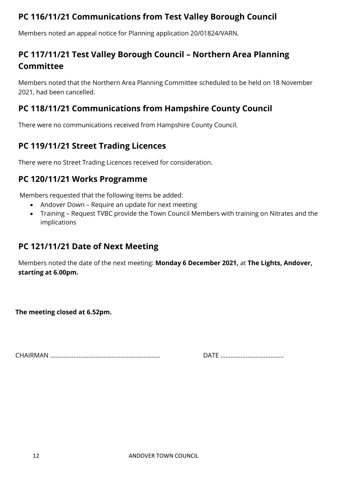## **PC 116/11/21 Communications from Test Valley Borough Council**

Members noted an appeal notice for Planning application 20/01824/VARN.

## **PC 117/11/21 Test Valley Borough Council – Northern Area Planning Committee**

Members noted that the Northern Area Planning Committee scheduled to be held on 18 November 2021, had been cancelled.

## **PC 118/11/21 Communications from Hampshire County Council**

There were no communications received from Hampshire County Council.

## **PC 119/11/21 Street Trading Licences**

There were no Street Trading Licences received for consideration.

## **PC 120/11/21 Works Programme**

Members requested that the following items be added:

- Andover Down Require an update for next meeting
- Training Request TVBC provide the Town Council Members with training on Nitrates and the implications

## **PC 121/11/21 Date of Next Meeting**

Members noted the date of the next meeting: **Monday 6 December 2021,** at **The Lights, Andover, starting at 6.00pm.**

**The meeting closed at 6.52pm.**

CHAIRMAN ………………………………………………………… DATE ………………………………..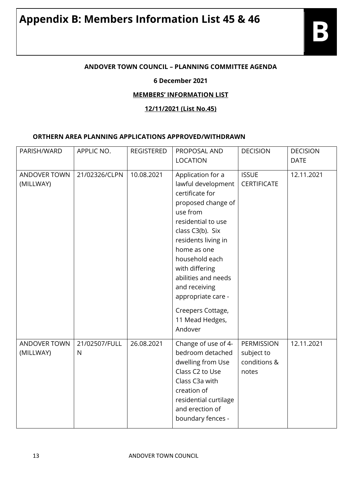#### **ANDOVER TOWN COUNCIL – PLANNING COMMITTEE AGENDA**

#### **6 December 2021**

#### **MEMBERS' INFORMATION LIST**

**12/11/2021 (List No.45)** 

#### **ORTHERN AREA PLANNING APPLICATIONS APPROVED/WITHDRAWN**

| PARISH/WARD               | APPLIC NO.                    | <b>REGISTERED</b> | PROPOSAL AND                                                                                                                                                                                                                                                                                                                      | <b>DECISION</b>                                   | <b>DECISION</b> |
|---------------------------|-------------------------------|-------------------|-----------------------------------------------------------------------------------------------------------------------------------------------------------------------------------------------------------------------------------------------------------------------------------------------------------------------------------|---------------------------------------------------|-----------------|
|                           |                               |                   | <b>LOCATION</b>                                                                                                                                                                                                                                                                                                                   |                                                   | <b>DATE</b>     |
| ANDOVER TOWN<br>(MILLWAY) | 21/02326/CLPN                 | 10.08.2021        | Application for a<br>lawful development<br>certificate for<br>proposed change of<br>use from<br>residential to use<br>class C3(b). Six<br>residents living in<br>home as one<br>household each<br>with differing<br>abilities and needs<br>and receiving<br>appropriate care -<br>Creepers Cottage,<br>11 Mead Hedges,<br>Andover | <b>ISSUE</b><br><b>CERTIFICATE</b>                | 12.11.2021      |
| ANDOVER TOWN<br>(MILLWAY) | 21/02507/FULL<br>$\mathsf{N}$ | 26.08.2021        | Change of use of 4-<br>bedroom detached<br>dwelling from Use<br>Class C2 to Use<br>Class C3a with<br>creation of<br>residential curtilage<br>and erection of<br>boundary fences -                                                                                                                                                 | PERMISSION<br>subject to<br>conditions &<br>notes | 12.11.2021      |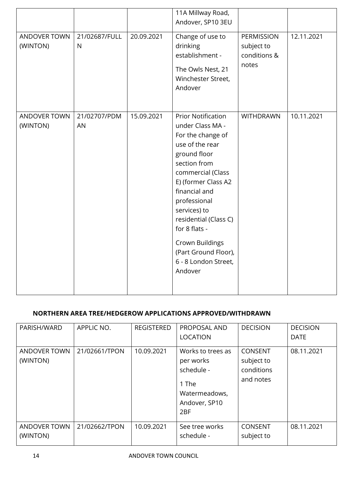|                                 |                    |            | 11A Millway Road,<br>Andover, SP10 3EU                                                                                                                                                                                                                                                                                                     |                                                   |            |
|---------------------------------|--------------------|------------|--------------------------------------------------------------------------------------------------------------------------------------------------------------------------------------------------------------------------------------------------------------------------------------------------------------------------------------------|---------------------------------------------------|------------|
| ANDOVER TOWN<br>(WINTON)        | 21/02687/FULL<br>N | 20.09.2021 | Change of use to<br>drinking<br>establishment -<br>The Owls Nest, 21<br>Winchester Street,<br>Andover                                                                                                                                                                                                                                      | PERMISSION<br>subject to<br>conditions &<br>notes | 12.11.2021 |
| <b>ANDOVER TOWN</b><br>(WINTON) | 21/02707/PDM<br>AN | 15.09.2021 | <b>Prior Notification</b><br>under Class MA -<br>For the change of<br>use of the rear<br>ground floor<br>section from<br>commercial (Class<br>E) (former Class A2<br>financial and<br>professional<br>services) to<br>residential (Class C)<br>for 8 flats -<br>Crown Buildings<br>(Part Ground Floor),<br>6 - 8 London Street,<br>Andover | <b>WITHDRAWN</b>                                  | 10.11.2021 |

#### **NORTHERN AREA TREE/HEDGEROW APPLICATIONS APPROVED/WITHDRAWN**

| PARISH/WARD                     | APPLIC NO.    | <b>REGISTERED</b> | <b>PROPOSAL AND</b><br><b>LOCATION</b>                                                                     | <b>DECISION</b>                                         | <b>DECISION</b><br><b>DATE</b> |
|---------------------------------|---------------|-------------------|------------------------------------------------------------------------------------------------------------|---------------------------------------------------------|--------------------------------|
| ANDOVER TOWN<br>(WINTON)        | 21/02661/TPON | 10.09.2021        | Works to trees as<br>per works<br>schedule -<br>1 The<br>Watermeadows,<br>Andover, SP10<br>2 <sub>BF</sub> | <b>CONSENT</b><br>subject to<br>conditions<br>and notes | 08.11.2021                     |
| <b>ANDOVER TOWN</b><br>(WINTON) | 21/02662/TPON | 10.09.2021        | See tree works<br>schedule -                                                                               | <b>CONSENT</b><br>subject to                            | 08.11.2021                     |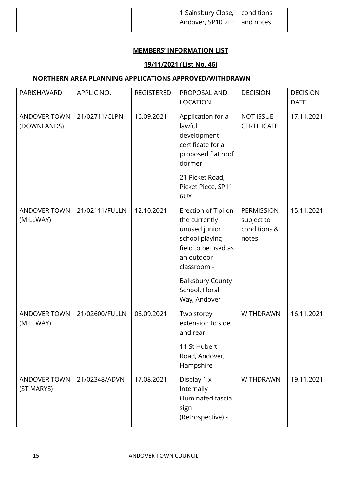|  | 1 Sainsbury Close,   conditions |  |
|--|---------------------------------|--|
|  | Andover, SP10 2LE and notes     |  |
|  |                                 |  |

#### **MEMBERS' INFORMATION LIST**

#### **19/11/2021 (List No. 46)**

#### **NORTHERN AREA PLANNING APPLICATIONS APPROVED/WITHDRAWN**

| PARISH/WARD                 | APPLIC NO.     | <b>REGISTERED</b> | PROPOSAL AND                                                                                                                                                                             | <b>DECISION</b>                                   | <b>DECISION</b> |
|-----------------------------|----------------|-------------------|------------------------------------------------------------------------------------------------------------------------------------------------------------------------------------------|---------------------------------------------------|-----------------|
|                             |                |                   | <b>LOCATION</b>                                                                                                                                                                          |                                                   | <b>DATE</b>     |
| ANDOVER TOWN<br>(DOWNLANDS) | 21/02711/CLPN  | 16.09.2021        | Application for a<br>lawful<br>development<br>certificate for a<br>proposed flat roof<br>dormer -<br>21 Picket Road,                                                                     | <b>NOT ISSUE</b><br><b>CERTIFICATE</b>            | 17.11.2021      |
|                             |                |                   | Picket Piece, SP11<br>6UX                                                                                                                                                                |                                                   |                 |
| ANDOVER TOWN<br>(MILLWAY)   | 21/02111/FULLN | 12.10.2021        | Erection of Tipi on<br>the currently<br>unused junior<br>school playing<br>field to be used as<br>an outdoor<br>classroom -<br><b>Balksbury County</b><br>School, Floral<br>Way, Andover | PERMISSION<br>subject to<br>conditions &<br>notes | 15.11.2021      |
| ANDOVER TOWN<br>(MILLWAY)   | 21/02600/FULLN | 06.09.2021        | Two storey<br>extension to side<br>and rear -                                                                                                                                            | WITHDRAWN                                         | 16.11.2021      |
|                             |                |                   | 11 St Hubert<br>Road, Andover,<br>Hampshire                                                                                                                                              |                                                   |                 |
| ANDOVER TOWN<br>(ST MARYS)  | 21/02348/ADVN  | 17.08.2021        | Display 1 x<br>Internally<br>illuminated fascia<br>sign<br>(Retrospective) -                                                                                                             | <b>WITHDRAWN</b>                                  | 19.11.2021      |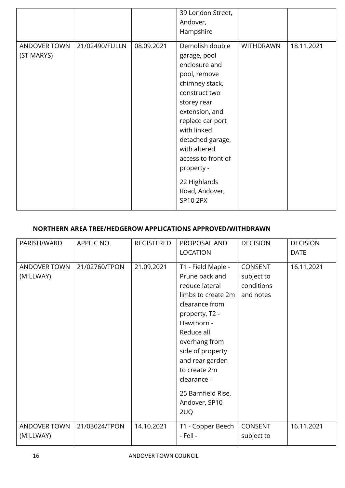|                            |                |            | 39 London Street,<br>Andover,<br>Hampshire                                                                                                                                                                                                                                                           |                  |            |
|----------------------------|----------------|------------|------------------------------------------------------------------------------------------------------------------------------------------------------------------------------------------------------------------------------------------------------------------------------------------------------|------------------|------------|
| ANDOVER TOWN<br>(ST MARYS) | 21/02490/FULLN | 08.09.2021 | Demolish double<br>garage, pool<br>enclosure and<br>pool, remove<br>chimney stack,<br>construct two<br>storey rear<br>extension, and<br>replace car port<br>with linked<br>detached garage,<br>with altered<br>access to front of<br>property -<br>22 Highlands<br>Road, Andover,<br><b>SP10 2PX</b> | <b>WITHDRAWN</b> | 18.11.2021 |

#### **NORTHERN AREA TREE/HEDGEROW APPLICATIONS APPROVED/WITHDRAWN**

| PARISH/WARD               | APPLIC NO.    | <b>REGISTERED</b> | PROPOSAL AND<br><b>LOCATION</b>                                                                                                                                                                                                                                                   | <b>DECISION</b>                                         | <b>DECISION</b><br><b>DATE</b> |
|---------------------------|---------------|-------------------|-----------------------------------------------------------------------------------------------------------------------------------------------------------------------------------------------------------------------------------------------------------------------------------|---------------------------------------------------------|--------------------------------|
| ANDOVER TOWN<br>(MILLWAY) | 21/02760/TPON | 21.09.2021        | T1 - Field Maple -<br>Prune back and<br>reduce lateral<br>limbs to create 2m<br>clearance from<br>property, T2 -<br>Hawthorn -<br>Reduce all<br>overhang from<br>side of property<br>and rear garden<br>to create 2m<br>clearance -<br>25 Barnfield Rise,<br>Andover, SP10<br>2UQ | <b>CONSENT</b><br>subject to<br>conditions<br>and notes | 16.11.2021                     |
| ANDOVER TOWN<br>(MILLWAY) | 21/03024/TPON | 14.10.2021        | T1 - Copper Beech<br>- Fell -                                                                                                                                                                                                                                                     | CONSENT<br>subject to                                   | 16.11.2021                     |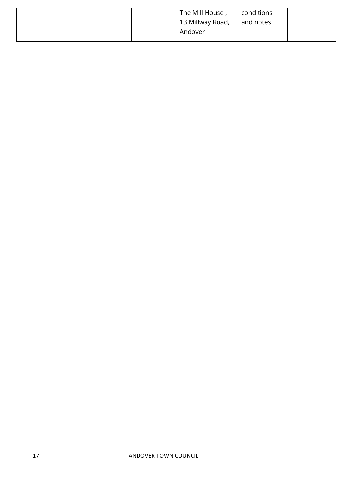|  | The Mill House,<br>13 Millway Road, | conditions<br>and notes |  |
|--|-------------------------------------|-------------------------|--|
|  | Andover                             |                         |  |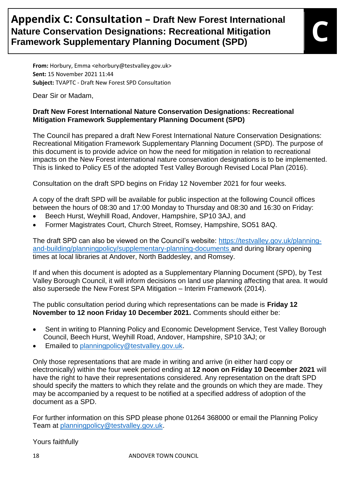## **Appendix C: Consultation – Draft New Forest International Nature Conservation Designations: Recreational Mitigation Apperiors C. Corisuitation – Draft New Forest International<br>Nature Conservation Designations: Recreational Mitigation<br>Framework Supplementary Planning Document (SPD)**

**From:** Horbury, Emma <ehorbury@testvalley.gov.uk> **Sent:** 15 November 2021 11:44 **Subject:** TVAPTC - Draft New Forest SPD Consultation

Dear Sir or Madam,

#### **Draft New Forest International Nature Conservation Designations: Recreational Mitigation Framework Supplementary Planning Document (SPD)**

The Council has prepared a draft New Forest International Nature Conservation Designations: Recreational Mitigation Framework Supplementary Planning Document (SPD). The purpose of this document is to provide advice on how the need for mitigation in relation to recreational impacts on the New Forest international nature conservation designations is to be implemented. This is linked to Policy E5 of the adopted Test Valley Borough Revised Local Plan (2016).

Consultation on the draft SPD begins on Friday 12 November 2021 for four weeks.

A copy of the draft SPD will be available for public inspection at the following Council offices between the hours of 08:30 and 17:00 Monday to Thursday and 08:30 and 16:30 on Friday:

- Beech Hurst, Weyhill Road, Andover, Hampshire, SP10 3AJ, and
- Former Magistrates Court, Church Street, Romsey, Hampshire, SO51 8AQ.

The draft SPD can also be viewed on the Council's website: [https://testvalley.gov.uk/planning](https://protect-eu.mimecast.com/s/yQvECYQXzil0u0iKKF?domain=testvalley.gov.uk)[and-building/planningpolicy/supplementary-planning-documents](https://protect-eu.mimecast.com/s/yQvECYQXzil0u0iKKF?domain=testvalley.gov.uk) and during library opening times at local libraries at Andover, North Baddesley, and Romsey.

If and when this document is adopted as a Supplementary Planning Document (SPD), by Test Valley Borough Council, it will inform decisions on land use planning affecting that area. It would also supersede the New Forest SPA Mitigation – Interim Framework (2014).

The public consultation period during which representations can be made is **Friday 12 November to 12 noon Friday 10 December 2021.** Comments should either be:

- Sent in writing to Planning Policy and Economic Development Service, Test Valley Borough Council, Beech Hurst, Weyhill Road, Andover, Hampshire, SP10 3AJ; or
- Emailed to [planningpolicy@testvalley.gov.uk.](mailto:planningpolicy@testvalley.gov.uk)

Only those representations that are made in writing and arrive (in either hard copy or electronically) within the four week period ending at **12 noon on Friday 10 December 2021** will have the right to have their representations considered. Any representation on the draft SPD should specify the matters to which they relate and the grounds on which they are made. They may be accompanied by a request to be notified at a specified address of adoption of the document as a SPD.

For further information on this SPD please phone 01264 368000 or email the Planning Policy Team at [planningpolicy@testvalley.gov.uk.](mailto:planningpolicy@testvalley.gov.uk)

Yours faithfully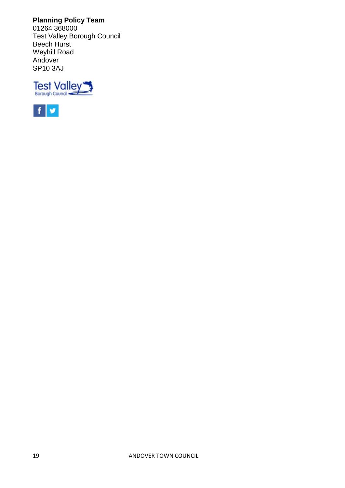**Planning Policy Team** 01264 368000 Test Valley Borough Council Beech Hurst Weyhill Road Andover SP10 3AJ



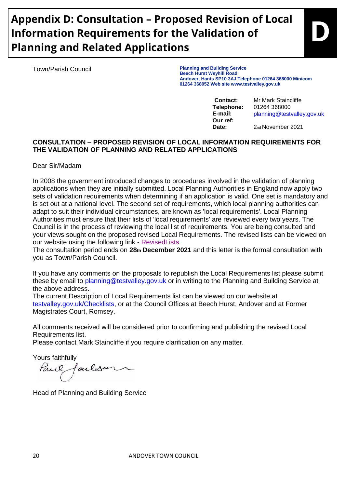# **Appendix D: Consultation – Proposed Revision of Local Information Requirements for the Validation of Planning and Related Applications**

Town/Parish Council **Planning and Building Service Beech Hurst Weyhill Road Andover, Hants SP10 3AJ Telephone 01264 368000 Minicom 01264 368052 Web site www.testvalley.gov.uk** 

**Our ref:** 

**Contact:** Mr Mark Staincliffe **Telephone:** 01264 368000 **E-mail:** planning@testvalley.gov.uk

**D**

**Date:** 2nd November 2021

#### **CONSULTATION – PROPOSED REVISION OF LOCAL INFORMATION REQUIREMENTS FOR THE VALIDATION OF PLANNING AND RELATED APPLICATIONS**

Dear Sir/Madam

In 2008 the government introduced changes to procedures involved in the validation of planning applications when they are initially submitted. Local Planning Authorities in England now apply two sets of validation requirements when determining if an application is valid. One set is mandatory and is set out at a national level. The second set of requirements, which local planning authorities can adapt to suit their individual circumstances, are known as 'local requirements'. Local Planning Authorities must ensure that their lists of 'local requirements' are reviewed every two years. The Council is in the process of reviewing the local list of requirements. You are being consulted and your views sought on the proposed revised Local Requirements. The revised lists can be viewed on our website using the following link - RevisedLists

The consultation period ends on **28th December 2021** and this letter is the formal consultation with you as Town/Parish Council.

If you have any comments on the proposals to republish the Local Requirements list please submit these by email to planning@testvalley.gov.uk or in writing to the Planning and Building Service at the above address.

The current Description of Local Requirements list can be viewed on our website at testvalley.gov.uk/Checklists, or at the Council Offices at Beech Hurst, Andover and at Former Magistrates Court, Romsey.

All comments received will be considered prior to confirming and publishing the revised Local Requirements list.

Please contact Mark Staincliffe if you require clarification on any matter.

Yours faithfully

Parce oulse

Head of Planning and Building Service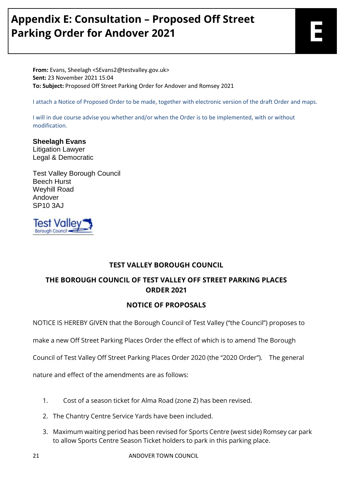# **Appendix E: Consultation – Proposed Off Street Parking Order for Andover 2021**

**From:** Evans, Sheelagh <SEvans2@testvalley.gov.uk> **Sent:** 23 November 2021 15:04 **To: Subject:** Proposed Off Street Parking Order for Andover and Romsey 2021

I attach a Notice of Proposed Order to be made, together with electronic version of the draft Order and maps.

I will in due course advise you whether and/or when the Order is to be implemented, with or without modification.

**Sheelagh Evans** Litigation Lawyer Legal & Democratic

Test Valley Borough Council Beech Hurst Weyhill Road Andover SP10 3AJ



#### **TEST VALLEY BOROUGH COUNCIL**

#### **THE BOROUGH COUNCIL OF TEST VALLEY OFF STREET PARKING PLACES ORDER 2021**

#### **NOTICE OF PROPOSALS**

NOTICE IS HEREBY GIVEN that the Borough Council of Test Valley ("the Council") proposes to

make a new Off Street Parking Places Order the effect of which is to amend The Borough

Council of Test Valley Off Street Parking Places Order 2020 (the "2020 Order"). The general

nature and effect of the amendments are as follows:

- 1. Cost of a season ticket for Alma Road (zone Z) has been revised.
- 2. The Chantry Centre Service Yards have been included.
- 3. Maximum waiting period has been revised for Sports Centre (west side) Romsey car park to allow Sports Centre Season Ticket holders to park in this parking place.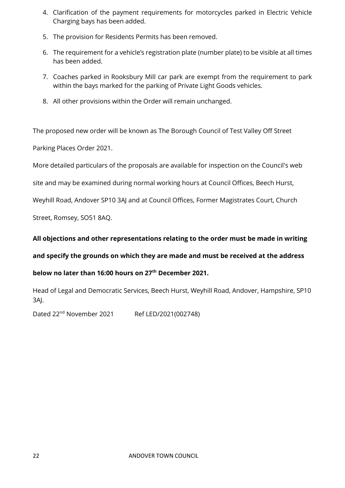- 4. Clarification of the payment requirements for motorcycles parked in Electric Vehicle Charging bays has been added.
- 5. The provision for Residents Permits has been removed.
- 6. The requirement for a vehicle's registration plate (number plate) to be visible at all times has been added.
- 7. Coaches parked in Rooksbury Mill car park are exempt from the requirement to park within the bays marked for the parking of Private Light Goods vehicles.
- 8. All other provisions within the Order will remain unchanged.

The proposed new order will be known as The Borough Council of Test Valley Off Street

Parking Places Order 2021.

More detailed particulars of the proposals are available for inspection on the Council's web

site and may be examined during normal working hours at Council Offices, Beech Hurst,

Weyhill Road, Andover SP10 3AJ and at Council Offices, Former Magistrates Court, Church

Street, Romsey, SO51 8AQ.

#### **All objections and other representations relating to the order must be made in writing**

#### **and specify the grounds on which they are made and must be received at the address**

#### **below no later than 16:00 hours on 27th December 2021.**

Head of Legal and Democratic Services, Beech Hurst, Weyhill Road, Andover, Hampshire, SP10 3AJ.

Dated 22<sup>nd</sup> November 2021 Ref LED/2021(002748)